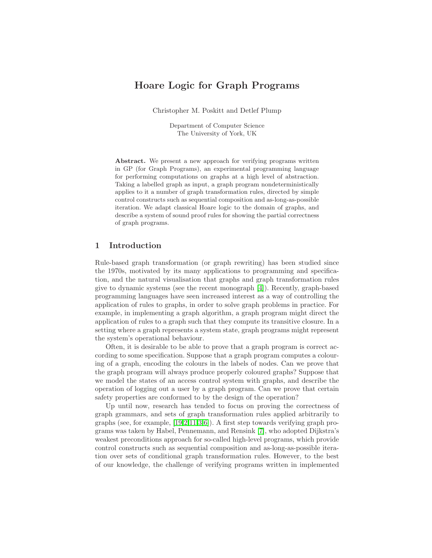# Hoare Logic for Graph Programs

Christopher M. Poskitt and Detlef Plump

Department of Computer Science The University of York, UK

Abstract. We present a new approach for verifying programs written in GP (for Graph Programs), an experimental programming language for performing computations on graphs at a high level of abstraction. Taking a labelled graph as input, a graph program nondeterministically applies to it a number of graph transformation rules, directed by simple control constructs such as sequential composition and as-long-as-possible iteration. We adapt classical Hoare logic to the domain of graphs, and describe a system of sound proof rules for showing the partial correctness of graph programs.

### 1 Introduction

Rule-based graph transformation (or graph rewriting) has been studied since the 1970s, motivated by its many applications to programming and specification, and the natural visualisation that graphs and graph transformation rules give to dynamic systems (see the recent monograph [\[4\]](#page-9-0)). Recently, graph-based programming languages have seen increased interest as a way of controlling the application of rules to graphs, in order to solve graph problems in practice. For example, in implementing a graph algorithm, a graph program might direct the application of rules to a graph such that they compute its transitive closure. In a setting where a graph represents a system state, graph programs might represent the system's operational behaviour.

Often, it is desirable to be able to prove that a graph program is correct according to some specification. Suppose that a graph program computes a colouring of a graph, encoding the colours in the labels of nodes. Can we prove that the graph program will always produce properly coloured graphs? Suppose that we model the states of an access control system with graphs, and describe the operation of logging out a user by a graph program. Can we prove that certain safety properties are conformed to by the design of the operation?

Up until now, research has tended to focus on proving the correctness of graph grammars, and sets of graph transformation rules applied arbitrarily to graphs (see, for example, [\[19,](#page-10-0)[2](#page-9-1)[,11](#page-9-2)[,3](#page-9-3)[,6\]](#page-9-4)). A first step towards verifying graph programs was taken by Habel, Pennemann, and Rensink [\[7\]](#page-9-5), who adopted Dijkstra's weakest preconditions approach for so-called high-level programs, which provide control constructs such as sequential composition and as-long-as-possible iteration over sets of conditional graph transformation rules. However, to the best of our knowledge, the challenge of verifying programs written in implemented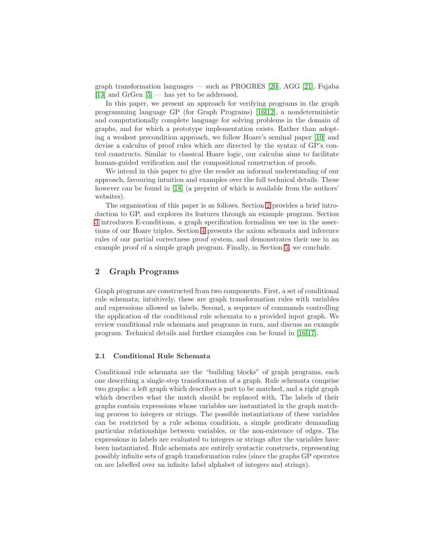graph transformation languages — such as PROGRES [\[20\]](#page-10-1), AGG [\[21\]](#page-10-2), Fujaba [\[13\]](#page-9-6) and GrGen [\[5\]](#page-9-7) — has yet to be addressed.

In this paper, we present an approach for verifying programs in the graph programming language GP (for Graph Programs) [\[16](#page-10-3)[,12\]](#page-9-8), a nondeterministic and computationally complete language for solving problems in the domain of graphs, and for which a prototype implementation exists. Rather than adopting a weakest precondition approach, we follow Hoare's seminal paper [\[10\]](#page-9-9) and devise a calculus of proof rules which are directed by the syntax of GP's control constructs. Similar to classical Hoare logic, our calculus aims to facilitate human-guided verification and the compositional construction of proofs.

We intend in this paper to give the reader an informal understanding of our approach, favouring intuition and examples over the full technical details. These however can be found in [\[18\]](#page-10-4) (a preprint of which is available from the authors' websites).

The organisation of this paper is as follows. Section [2](#page-1-0) provides a brief introduction to GP, and explores its features through an example program. Section [3](#page-4-0) introduces E-conditions, a graph specification formalism we use in the assertions of our Hoare triples. Section [4](#page-5-0) presents the axiom schemata and inference rules of our partial correctness proof system, and demonstrates their use in an example proof of a simple graph program. Finally, in Section [5,](#page-8-0) we conclude.

### <span id="page-1-0"></span>2 Graph Programs

Graph programs are constructed from two components. First, a set of conditional rule schemata; intuitively, these are graph transformation rules with variables and expressions allowed as labels. Second, a sequence of commands controlling the application of the conditional rule schemata to a provided input graph. We review conditional rule schemata and programs in turn, and discuss an example program. Technical details and further examples can be found in [\[16](#page-10-3)[,17\]](#page-10-5).

### 2.1 Conditional Rule Schemata

Conditional rule schemata are the "building blocks" of graph programs, each one describing a single-step transformation of a graph. Rule schemata comprise two graphs: a left graph which describes a part to be matched, and a right graph which describes what the match should be replaced with. The labels of their graphs contain expressions whose variables are instantiated in the graph matching process to integers or strings. The possible instantiations of these variables can be restricted by a rule schema condition, a simple predicate demanding particular relationships between variables, or the non-existence of edges. The expressions in labels are evaluated to integers or strings after the variables have been instantiated. Rule schemata are entirely syntactic constructs, representing possibly infinite sets of graph transformation rules (since the graphs GP operates on are labelled over an infinite label alphabet of integers and strings).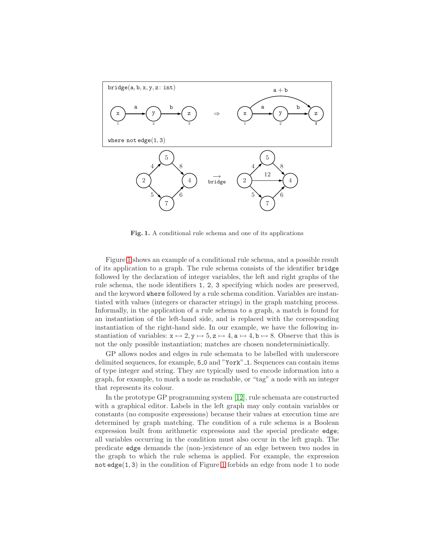

<span id="page-2-0"></span>Fig. 1. A conditional rule schema and one of its applications

Figure [1](#page-2-0) shows an example of a conditional rule schema, and a possible result of its application to a graph. The rule schema consists of the identifier bridge followed by the declaration of integer variables, the left and right graphs of the rule schema, the node identifiers 1, 2, 3 specifying which nodes are preserved, and the keyword where followed by a rule schema condition. Variables are instantiated with values (integers or character strings) in the graph matching process. Informally, in the application of a rule schema to a graph, a match is found for an instantiation of the left-hand side, and is replaced with the corresponding instantiation of the right-hand side. In our example, we have the following instantiation of variables:  $x \mapsto 2$ ,  $y \mapsto 5$ ,  $z \mapsto 4$ ,  $a \mapsto 4$ ,  $b \mapsto 8$ . Observe that this is not the only possible instantiation; matches are chosen nondeterministically.

GP allows nodes and edges in rule schemata to be labelled with underscore delimited sequences, for example, 5 0 and "York" 1. Sequences can contain items of type integer and string. They are typically used to encode information into a graph, for example, to mark a node as reachable, or "tag" a node with an integer that represents its colour.

In the prototype GP programming system [\[12\]](#page-9-8), rule schemata are constructed with a graphical editor. Labels in the left graph may only contain variables or constants (no composite expressions) because their values at execution time are determined by graph matching. The condition of a rule schema is a Boolean expression built from arithmetic expressions and the special predicate edge; all variables occurring in the condition must also occur in the left graph. The predicate edge demands the (non-)existence of an edge between two nodes in the graph to which the rule schema is applied. For example, the expression not  $edge(1, 3)$  in the condition of Figure [1](#page-2-0) forbids an edge from node 1 to node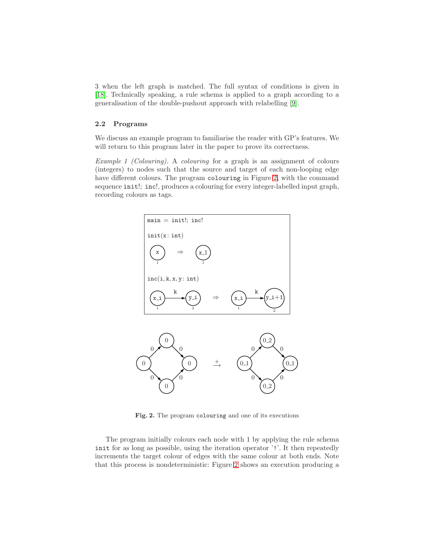3 when the left graph is matched. The full syntax of conditions is given in [\[18\]](#page-10-4). Technically speaking, a rule schema is applied to a graph according to a generalisation of the double-pushout approach with relabelling [\[9\]](#page-9-10).

#### 2.2 Programs

We discuss an example program to familiarise the reader with GP's features. We will return to this program later in the paper to prove its correctness.

Example 1 (Colouring). A colouring for a graph is an assignment of colours (integers) to nodes such that the source and target of each non-looping edge have different colours. The program colouring in Figure [2,](#page-3-0) with the command sequence init!; inc!, produces a colouring for every integer-labelled input graph, recording colours as tags.



<span id="page-3-0"></span>Fig. 2. The program colouring and one of its executions

The program initially colours each node with 1 by applying the rule schema init for as long as possible, using the iteration operator '!'. It then repeatedly increments the target colour of edges with the same colour at both ends. Note that this process is nondeterministic: Figure [2](#page-3-0) shows an execution producing a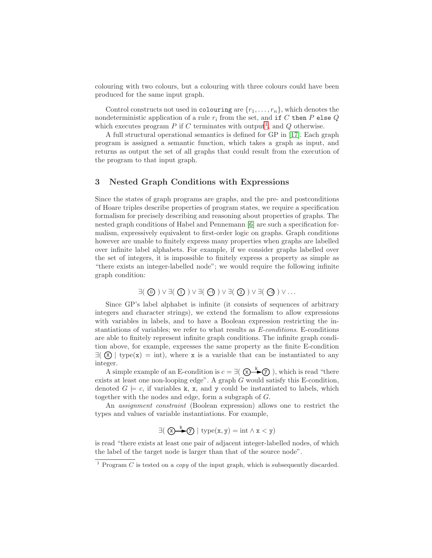colouring with two colours, but a colouring with three colours could have been produced for the same input graph.

Control constructs not used in colouring are  $\{r_1,\ldots,r_n\}$ , which denotes the nondeterministic application of a rule  $r_i$  from the set, and if C then P else Q which executes program  $P$  if  $C$  terminates with output<sup>[1](#page-4-1)</sup>, and  $Q$  otherwise.

A full structural operational semantics is defined for GP in [\[17\]](#page-10-5). Each graph program is assigned a semantic function, which takes a graph as input, and returns as output the set of all graphs that could result from the execution of the program to that input graph.

### <span id="page-4-0"></span>3 Nested Graph Conditions with Expressions

Since the states of graph programs are graphs, and the pre- and postconditions of Hoare triples describe properties of program states, we require a specification formalism for precisely describing and reasoning about properties of graphs. The nested graph conditions of Habel and Pennemann [\[6\]](#page-9-4) are such a specification formalism, expressively equivalent to first-order logic on graphs. Graph conditions however are unable to finitely express many properties when graphs are labelled over infinite label alphabets. For example, if we consider graphs labelled over the set of integers, it is impossible to finitely express a property as simple as "there exists an integer-labelled node"; we would require the following infinite graph condition:

$$
\exists (\bigcirc \bigcirc ) \vee \exists (\bigcirc \bigcirc ) \vee \exists (\bigcirc \bigcirc ) \vee \exists (\bigcirc \bigcirc ) \vee \exists (\bigcirc \bigcirc ) \vee \exists (\bigcirc \bigcirc )
$$

Since GP's label alphabet is infinite (it consists of sequences of arbitrary integers and character strings), we extend the formalism to allow expressions with variables in labels, and to have a Boolean expression restricting the instantiations of variables; we refer to what results as E-conditions. E-conditions are able to finitely represent infinite graph conditions. The infinite graph condition above, for example, expresses the same property as the finite E-condition  $\exists$  ( $\mathbf{x}$ ) type( $\mathbf{x}$ ) = int), where x is a variable that can be instantiated to any integer.

A simple example of an E-condition is  $c = \exists (\bigotimes^k \bigotimes)$ , which is read "there exists at least one non-looping edge". A graph G would satisfy this E-condition, denoted  $G \models c$ , if variables k, x, and y could be instantiated to labels, which together with the nodes and edge, form a subgraph of G.

An assignment constraint (Boolean expression) allows one to restrict the types and values of variable instantiations. For example,

$$
\exists (\text{ } \textcircled{x}\text{---}\text{---}\text{---}\text{type}(\textbf{x},\textbf{y}) = \mathrm{int} \land \textbf{x} < \textbf{y})
$$

is read "there exists at least one pair of adjacent integer-labelled nodes, of which the label of the target node is larger than that of the source node".

<span id="page-4-1"></span><sup>&</sup>lt;sup>1</sup> Program  $\overline{C}$  is tested on a *copy* of the input graph, which is subsequently discarded.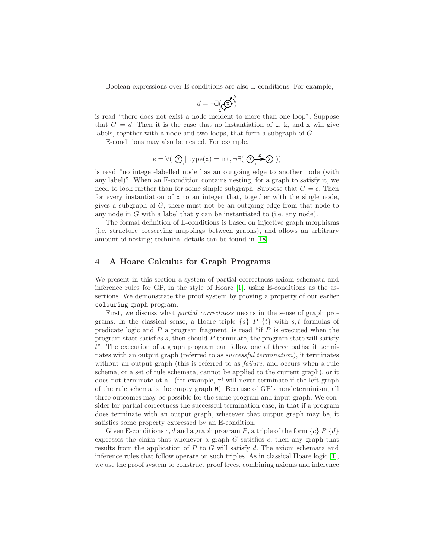Boolean expressions over E-conditions are also E-conditions. For example,

$$
d = \neg \exists (\mathbf{Q}^{\mathbf{D}})^k
$$

is read "there does not exist a node incident to more than one loop". Suppose that  $G \models d$ . Then it is the case that no instantiation of i, k, and x will give labels, together with a node and two loops, that form a subgraph of G.

E-conditions may also be nested. For example,

$$
e = \forall (\bigotimes_{1} | \text{ type(x)} = \text{int}, \neg \exists (\bigotimes_{1} \xrightarrow{k} \textcircled{f}) )
$$

is read "no integer-labelled node has an outgoing edge to another node (with any label)". When an E-condition contains nesting, for a graph to satisfy it, we need to look further than for some simple subgraph. Suppose that  $G \models e$ . Then for every instantiation of  $x$  to an integer that, together with the single node, gives a subgraph of  $G$ , there must not be an outgoing edge from that node to any node in G with a label that y can be instantiated to (i.e. any node).

The formal definition of E-conditions is based on injective graph morphisms (i.e. structure preserving mappings between graphs), and allows an arbitrary amount of nesting; technical details can be found in [\[18\]](#page-10-4).

#### <span id="page-5-0"></span>4 A Hoare Calculus for Graph Programs

We present in this section a system of partial correctness axiom schemata and inference rules for GP, in the style of Hoare [\[1\]](#page-9-11), using E-conditions as the assertions. We demonstrate the proof system by proving a property of our earlier colouring graph program.

First, we discuss what partial correctness means in the sense of graph programs. In the classical sense, a Hoare triple  $\{s\}$  P  $\{t\}$  with s, t formulas of predicate logic and  $P$  a program fragment, is read "if  $P$  is executed when the program state satisfies s, then should  $P$  terminate, the program state will satisfy t". The execution of a graph program can follow one of three paths: it terminates with an output graph (referred to as *successful termination*), it terminates without an output graph (this is referred to as *failure*, and occurs when a rule schema, or a set of rule schemata, cannot be applied to the current graph), or it does not terminate at all (for example, r! will never terminate if the left graph of the rule schema is the empty graph  $\emptyset$ ). Because of GP's nondeterminism, all three outcomes may be possible for the same program and input graph. We consider for partial correctness the successful termination case, in that if a program does terminate with an output graph, whatever that output graph may be, it satisfies some property expressed by an E-condition.

Given E-conditions c, d and a graph program P, a triple of the form  $\{c\}$  P  $\{d\}$ expresses the claim that whenever a graph  $G$  satisfies  $c$ , then any graph that results from the application of  $P$  to  $G$  will satisfy  $d$ . The axiom schemata and inference rules that follow operate on such triples. As in classical Hoare logic [\[1\]](#page-9-11), we use the proof system to construct proof trees, combining axioms and inference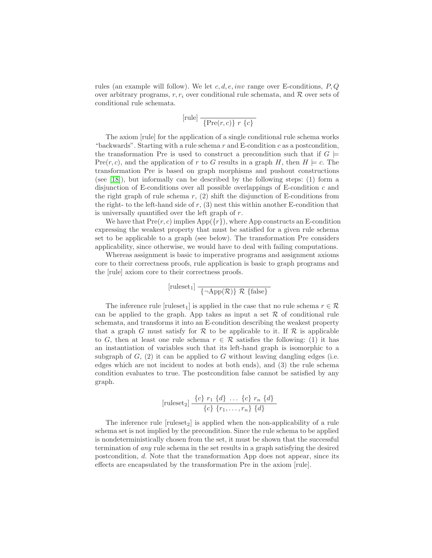rules (an example will follow). We let  $c, d, e, inv$  range over E-conditions,  $P, Q$ over arbitrary programs, r,  $r_i$  over conditional rule schemata, and R over sets of conditional rule schemata.

$$
[\text{rule}] \frac{}{\text{free}(r, c)} r \{c\}
$$

The axiom [rule] for the application of a single conditional rule schema works "backwards". Starting with a rule schema  $r$  and E-condition  $c$  as a postcondition, the transformation Pre is used to construct a precondition such that if  $G \models$ Pre $(r, c)$ , and the application of r to G results in a graph H, then  $H \models c$ . The transformation Pre is based on graph morphisms and pushout constructions (see [\[18\]](#page-10-4)), but informally can be described by the following steps: (1) form a disjunction of E-conditions over all possible overlappings of E-condition  $c$  and the right graph of rule schema  $r$ , (2) shift the disjunction of E-conditions from the right- to the left-hand side of  $r$ , (3) nest this within another E-condition that is universally quantified over the left graph of r.

We have that  $Pre(r, c)$  implies  $App(fr)$ , where App constructs an E-condition expressing the weakest property that must be satisfied for a given rule schema set to be applicable to a graph (see below). The transformation Pre considers applicability, since otherwise, we would have to deal with failing computations.

Whereas assignment is basic to imperative programs and assignment axioms core to their correctness proofs, rule application is basic to graph programs and the [rule] axiom core to their correctness proofs.

[ruleset<sub>1</sub>] 
$$
\overline{\{-\text{App}(\mathcal{R})\}\mathcal{R} \{\text{false}\}}
$$

The inference rule [ruleset<sub>1</sub>] is applied in the case that no rule schema  $r \in \mathcal{R}$ can be applied to the graph. App takes as input a set  $\mathcal R$  of conditional rule schemata, and transforms it into an E-condition describing the weakest property that a graph G must satisfy for R to be applicable to it. If R is applicable to G, then at least one rule schema  $r \in \mathcal{R}$  satisfies the following: (1) it has an instantiation of variables such that its left-hand graph is isomorphic to a subgraph of  $G$ ,  $(2)$  it can be applied to  $G$  without leaving dangling edges (i.e. edges which are not incident to nodes at both ends), and (3) the rule schema condition evaluates to true. The postcondition false cannot be satisfied by any graph.

[ruleset<sub>2</sub>] 
$$
\frac{\{c\} \ r_1 \ \{d\} \ \ldots \ \{c\} \ r_n \ \{d\}}{\{c\} \ \{r_1, \ldots, r_n\} \ \{d\}}
$$

The inference rule  $[\text{ruleset}_2]$  is applied when the non-applicability of a rule schema set is not implied by the precondition. Since the rule schema to be applied is nondeterministically chosen from the set, it must be shown that the successful termination of any rule schema in the set results in a graph satisfying the desired postcondition, d. Note that the transformation App does not appear, since its effects are encapsulated by the transformation Pre in the axiom [rule].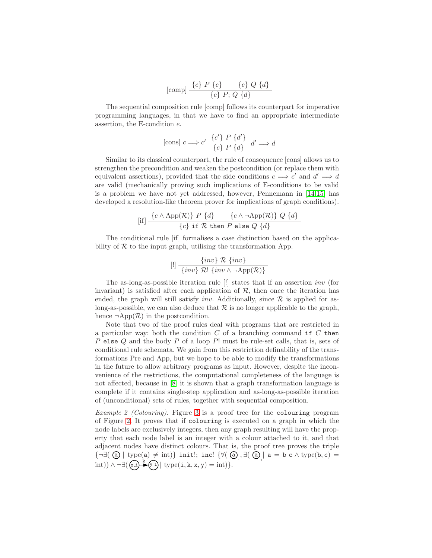[comp] 
$$
\frac{\{c\} \ P \{e\} \quad \{e\} \ Q \{d\}}{\{c\} \ P; Q \{d\}}
$$

The sequential composition rule [comp] follows its counterpart for imperative programming languages, in that we have to find an appropriate intermediate assertion, the E-condition e.

[cons] 
$$
c \Longrightarrow c' \frac{\{c'\} \ P \{d'\}}{\{c\} \ P \{d\}} d' \Longrightarrow d
$$

Similar to its classical counterpart, the rule of consequence [cons] allows us to strengthen the precondition and weaken the postcondition (or replace them with equivalent assertions), provided that the side conditions  $c \implies c'$  and  $d' \implies d$ are valid (mechanically proving such implications of E-conditions to be valid is a problem we have not yet addressed, however, Pennemann in [\[14,](#page-10-6)[15\]](#page-10-7) has developed a resolution-like theorem prover for implications of graph conditions).

$$
[if] \frac{\{c \land \mathrm{App}(\mathcal{R})\} \ P \ \{d\}}{\{c\} \ \text{if} \ \mathcal{R} \ \text{then} \ P \ \text{else} \ Q \ \{d\}}
$$

The conditional rule [if] formalises a case distinction based on the applicability of  $R$  to the input graph, utilising the transformation App.

$$
[!]\ \frac{\{inv\}\ \mathcal{R}\ \{inv\}}{\{inv\}\ \mathcal{R}!\ \{inv\wedge\neg\mathrm{App}(\mathcal{R})\}}
$$

The as-long-as-possible iteration rule [!] states that if an assertion inv (for invariant) is satisfied after each application of  $R$ , then once the iteration has ended, the graph will still satisfy inv. Additionally, since  $\mathcal R$  is applied for aslong-as-possible, we can also deduce that  $\mathcal R$  is no longer applicable to the graph, hence  $\neg \text{App}(\mathcal{R})$  in the postcondition.

Note that two of the proof rules deal with programs that are restricted in a particular way: both the condition  $C$  of a branching command if  $C$  then P else  $Q$  and the body  $P$  of a loop  $P!$  must be rule-set calls, that is, sets of conditional rule schemata. We gain from this restriction definability of the transformations Pre and App, but we hope to be able to modify the transformations in the future to allow arbitrary programs as input. However, despite the inconvenience of the restrictions, the computational completeness of the language is not affected, because in [\[8\]](#page-9-12) it is shown that a graph transformation language is complete if it contains single-step application and as-long-as-possible iteration of (unconditional) sets of rules, together with sequential composition.

Example 2 (Colouring). Figure [3](#page-8-1) is a proof tree for the colouring program of Figure [2.](#page-3-0) It proves that if colouring is executed on a graph in which the node labels are exclusively integers, then any graph resulting will have the property that each node label is an integer with a colour attached to it, and that adjacent nodes have distinct colours. That is, the proof tree proves the triple  ${\lbrace \neg \exists (\text{ } @ \text{ } | \text{ type}(a) \neq \text{ int}) \rbrace \text{ init}!, \text{ incl } \lbrace \forall (\text{ } @ \text{ }_1, \exists (\text{ } @ \text{ }_1 \text{ } a = b \text{ c} \land \text{ type}(b, c) = b \rbrace \lbrace \text{ } @ \text{ }_2 \text{ } | \text{ } @ \text{ }_3 \text{ } \rbrace }$  $\text{int}(\mathbf{x}_i) \wedge \neg \exists (\mathbf{x}_i) \longrightarrow^k (\mathbf{y}_i) \mid \text{type}(\mathbf{i}, \mathbf{k}, \mathbf{x}, \mathbf{y}) = \text{int} \}.$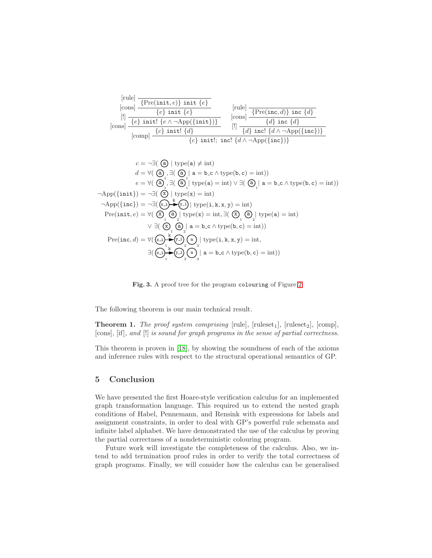$$
\begin{array}{|l|l|} \hline \text{[rule]} & \hline \text{[rule]} \\ \hline \text{[cons]} & \hline \{P \text{re}(\text{init}, e) \} \text{ init } \{e\} \\ \hline \text{[l]} & \hline \{e\} \text{ init } \{e\} \\ \hline \text{[cons]} & \hline \{e\} \text{ init! } \{e \wedge \neg \text{App}(\{\text{init}\})\} \\ \hline \text{[cons]} & \hline \{e\} \text{ init! } \{d\} \\ \hline \text{[comp]} & \hline \{e\} \text{ init! } \{d\} \\ \hline \{e\} \text{ init!}; \text{ incl } \{d \wedge \neg \text{App}(\{\text{inc}\})\} \end{array}
$$

$$
c = \neg \exists (\text{ } @ | \text{ type(a)} \neq \text{int})
$$
\n
$$
d = \forall (\text{ } @ | \exists (\text{ } @ | \text{ a} = b \text{ } c \land \text{type(b, c)} = \text{int}))
$$
\n
$$
e = \forall (\text{ } @ | \exists (\text{ } @ | \text{ type(a)} = \text{int}) \lor \exists (\text{ } @ | \text{ a} = b \text{ } c \land \text{type(b, c)} = \text{int}))
$$
\n
$$
\neg \text{App}(\{\text{init}\}) = \neg \exists (\text{ } @ | \text{ type(x)} = \text{int})
$$
\n
$$
\neg \text{App}(\{\text{inc}\}) = \neg \exists (\text{ } @ | \text{ type(x)} = \text{int})
$$
\n
$$
\text{Pre}(\text{init}, e) = \forall (\text{ } @ | \text{ type(x)} = \text{int}, \exists (\text{ } @ | \text{ type(a)} = \text{int}))
$$
\n
$$
\lor \exists (\text{ } @ | \text{ type(x)} = \text{int}, \exists (\text{ } @ | \text{ type(a)} = \text{int}))
$$
\n
$$
\lor \exists (\text{ } @ | \text{ a} = b \text{ } c \land \text{type(b, c)} = \text{int}))
$$
\n
$$
\text{Pre}(\text{inc}, d) = \forall (\text{ } @ | \text{ x} = \text{supp} @ | \text{ type(i, k, x, y)} = \text{int},
$$
\n
$$
\exists (\text{ x} = \text{supp} @ | \text{ x} = \text{supp} @ | \text{ type(i, k, x, y)} = \text{int},
$$
\n
$$
\exists (\text{ x} = \text{supp} @ | \text{ x} = \text{supp} @ | \text{ x} = \text{supp} @ | \text{ x} = \text{supp} @ | \text{ x} = \text{supp} @ | \text{ x} = \text{supp} @ | \text{ x} = \text{supp} @ | \text{ x} = \text{supp} @ | \text{ x} = \text{supp} @ | \text{ x} = \text{supp} @ | \text{ x} = \text{supp} @ | \text{ x} = \text{supp} @ | \text{ x} = \text{supp} @ | \text{ x} = \text{supp} @ | \text{ x} = \text{supp} @ | \text{ x} = \
$$

<span id="page-8-1"></span>Fig. 3. A proof tree for the program colouring of Figure [2](#page-3-0)

The following theorem is our main technical result.

**Theorem 1.** The proof system comprising  $[\text{rule}]$ ,  $[\text{ruleset}_1]$ ,  $[\text{ruleset}_2]$ ,  $[\text{comp}]$ , [cons], [if], and [!] is sound for graph programs in the sense of partial correctness.

This theorem is proven in [\[18\]](#page-10-4), by showing the soundness of each of the axioms and inference rules with respect to the structural operational semantics of GP.

## <span id="page-8-0"></span>5 Conclusion

We have presented the first Hoare-style verification calculus for an implemented graph transformation language. This required us to extend the nested graph conditions of Habel, Pennemann, and Rensink with expressions for labels and assignment constraints, in order to deal with GP's powerful rule schemata and infinite label alphabet. We have demonstrated the use of the calculus by proving the partial correctness of a nondeterministic colouring program.

Future work will investigate the completeness of the calculus. Also, we intend to add termination proof rules in order to verify the total correctness of graph programs. Finally, we will consider how the calculus can be generalised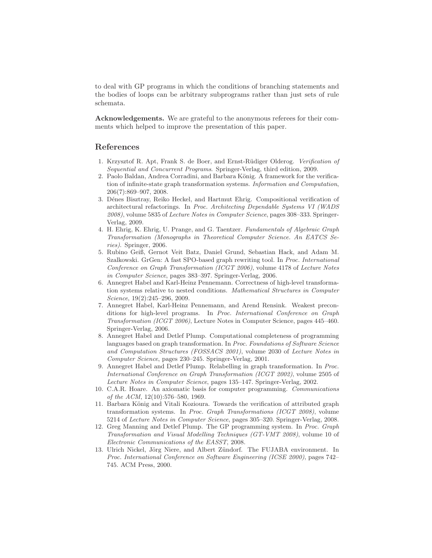to deal with GP programs in which the conditions of branching statements and the bodies of loops can be arbitrary subprograms rather than just sets of rule schemata.

Acknowledgements. We are grateful to the anonymous referees for their comments which helped to improve the presentation of this paper.

### <span id="page-9-11"></span>References

- 1. Krzysztof R. Apt, Frank S. de Boer, and Ernst-R¨udiger Olderog. Verification of Sequential and Concurrent Programs. Springer-Verlag, third edition, 2009.
- <span id="page-9-1"></span>2. Paolo Baldan, Andrea Corradini, and Barbara König. A framework for the verification of infinite-state graph transformation systems. Information and Computation, 206(7):869–907, 2008.
- <span id="page-9-3"></span>3. Dénes Bisztray, Reiko Heckel, and Hartmut Ehrig. Compositional verification of architectural refactorings. In Proc. Architecting Dependable Systems VI (WADS 2008), volume 5835 of Lecture Notes in Computer Science, pages 308–333. Springer-Verlag, 2009.
- <span id="page-9-0"></span>4. H. Ehrig, K. Ehrig, U. Prange, and G. Taentzer. Fundamentals of Algebraic Graph Transformation (Monographs in Theoretical Computer Science. An EATCS Series). Springer, 2006.
- <span id="page-9-7"></span>5. Rubino Geiß, Gernot Veit Batz, Daniel Grund, Sebastian Hack, and Adam M. Szalkowski. GrGen: A fast SPO-based graph rewriting tool. In Proc. International Conference on Graph Transformation (ICGT 2006), volume 4178 of Lecture Notes in Computer Science, pages 383–397. Springer-Verlag, 2006.
- <span id="page-9-4"></span>6. Annegret Habel and Karl-Heinz Pennemann. Correctness of high-level transformation systems relative to nested conditions. Mathematical Structures in Computer Science, 19(2):245–296, 2009.
- <span id="page-9-5"></span>7. Annegret Habel, Karl-Heinz Pennemann, and Arend Rensink. Weakest preconditions for high-level programs. In Proc. International Conference on Graph Transformation (ICGT 2006), Lecture Notes in Computer Science, pages 445–460. Springer-Verlag, 2006.
- <span id="page-9-12"></span>8. Annegret Habel and Detlef Plump. Computational completeness of programming languages based on graph transformation. In Proc. Foundations of Software Science and Computation Structures (FOSSACS 2001), volume 2030 of Lecture Notes in Computer Science, pages 230–245. Springer-Verlag, 2001.
- <span id="page-9-10"></span>9. Annegret Habel and Detlef Plump. Relabelling in graph transformation. In Proc. International Conference on Graph Transformation (ICGT 2002), volume 2505 of Lecture Notes in Computer Science, pages 135–147. Springer-Verlag, 2002.
- <span id="page-9-9"></span>10. C.A.R. Hoare. An axiomatic basis for computer programming. Communications of the  $ACM$ ,  $12(10):576-580$ , 1969.
- <span id="page-9-2"></span>11. Barbara König and Vitali Kozioura. Towards the verification of attributed graph transformation systems. In Proc. Graph Transformations (ICGT 2008), volume 5214 of Lecture Notes in Computer Science, pages 305–320. Springer-Verlag, 2008.
- <span id="page-9-8"></span>12. Greg Manning and Detlef Plump. The GP programming system. In Proc. Graph Transformation and Visual Modelling Techniques (GT-VMT 2008), volume 10 of Electronic Communications of the EASST, 2008.
- <span id="page-9-6"></span>13. Ulrich Nickel, Jörg Niere, and Albert Zündorf. The FUJABA environment. In Proc. International Conference on Software Engineering (ICSE 2000), pages 742– 745. ACM Press, 2000.